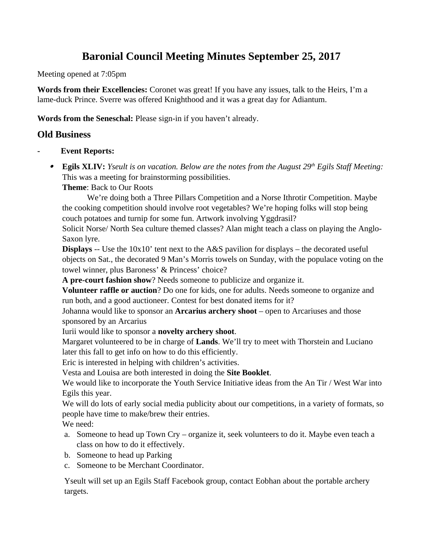# **Baronial Council Meeting Minutes September 25, 2017**

Meeting opened at 7:05pm

**Words from their Excellencies:** Coronet was great! If you have any issues, talk to the Heirs, I'm a lame-duck Prince. Sverre was offered Knighthood and it was a great day for Adiantum.

**Words from the Seneschal:** Please sign-in if you haven't already.

# **Old Business**

- **Event Reports:**
	- **Egils XLIV:** *Yseult is on vacation. Below are the notes from the August 29th Egils Staff Meeting:* This was a meeting for brainstorming possibilities.

**Theme**: Back to Our Roots

 We're doing both a Three Pillars Competition and a Norse Ithrotir Competition. Maybe the cooking competition should involve root vegetables? We're hoping folks will stop being couch potatoes and turnip for some fun. Artwork involving Yggdrasil?

Solicit Norse/ North Sea culture themed classes? Alan might teach a class on playing the Anglo-Saxon lyre.

**Displays** -- Use the 10x10' tent next to the A&S pavilion for displays – the decorated useful objects on Sat., the decorated 9 Man's Morris towels on Sunday, with the populace voting on the towel winner, plus Baroness' & Princess' choice?

**A pre-court fashion show**? Needs someone to publicize and organize it.

**Volunteer raffle or auction**? Do one for kids, one for adults. Needs someone to organize and run both, and a good auctioneer. Contest for best donated items for it?

Johanna would like to sponsor an **Arcarius archery shoot** – open to Arcariuses and those sponsored by an Arcarius

Iurii would like to sponsor a **novelty archery shoot**.

Margaret volunteered to be in charge of **Lands**. We'll try to meet with Thorstein and Luciano later this fall to get info on how to do this efficiently.

Eric is interested in helping with children's activities.

Vesta and Louisa are both interested in doing the **Site Booklet**.

We would like to incorporate the Youth Service Initiative ideas from the An Tir / West War into Egils this year.

We will do lots of early social media publicity about our competitions, in a variety of formats, so people have time to make/brew their entries.

We need:

- a. Someone to head up Town Cry organize it, seek volunteers to do it. Maybe even teach a class on how to do it effectively.
- b. Someone to head up Parking
- c. Someone to be Merchant Coordinator.

Yseult will set up an Egils Staff Facebook group, contact Eobhan about the portable archery targets.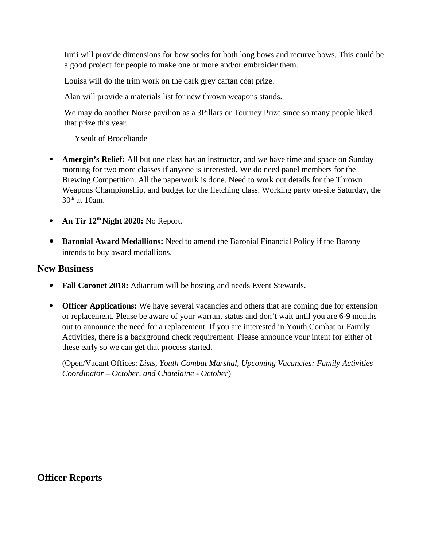Iurii will provide dimensions for bow socks for both long bows and recurve bows. This could be a good project for people to make one or more and/or embroider them.

Louisa will do the trim work on the dark grey caftan coat prize.

Alan will provide a materials list for new thrown weapons stands.

We may do another Norse pavilion as a 3Pillars or Tourney Prize since so many people liked that prize this year.

Yseult of Broceliande

- **Amergin's Relief:** All but one class has an instructor, and we have time and space on Sunday morning for two more classes if anyone is interested. We do need panel members for the Brewing Competition. All the paperwork is done. Need to work out details for the Thrown Weapons Championship, and budget for the fletching class. Working party on-site Saturday, the  $30<sup>th</sup>$  at 10am.
- **An Tir 12th Night 2020:** No Report.
- **Baronial Award Medallions:** Need to amend the Baronial Financial Policy if the Barony intends to buy award medallions.

# **New Business**

- **Fall Coronet 2018:** Adiantum will be hosting and needs Event Stewards.
- **Officer Applications:** We have several vacancies and others that are coming due for extension or replacement. Please be aware of your warrant status and don't wait until you are 6-9 months out to announce the need for a replacement. If you are interested in Youth Combat or Family Activities, there is a background check requirement. Please announce your intent for either of these early so we can get that process started.

(Open/Vacant Offices: *Lists, Youth Combat Marshal, Upcoming Vacancies: Family Activities Coordinator – October, and Chatelaine - October*)

**Officer Reports**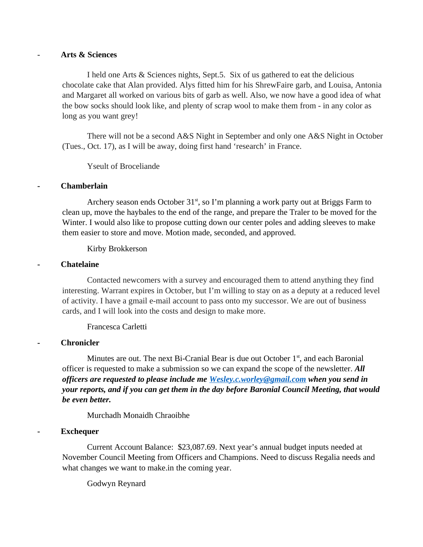#### - **Arts & Sciences**

I held one Arts & Sciences nights, Sept.5. Six of us gathered to eat the delicious chocolate cake that Alan provided. Alys fitted him for his ShrewFaire garb, and Louisa, Antonia and Margaret all worked on various bits of garb as well. Also, we now have a good idea of what the bow socks should look like, and plenty of scrap wool to make them from - in any color as long as you want grey!

There will not be a second A&S Night in September and only one A&S Night in October (Tues., Oct. 17), as I will be away, doing first hand 'research' in France.

Yseult of Broceliande

#### **- Chamberlain**

Archery season ends October 31<sup>st</sup>, so I'm planning a work party out at Briggs Farm to clean up, move the haybales to the end of the range, and prepare the Traler to be moved for the Winter. I would also like to propose cutting down our center poles and adding sleeves to make them easier to store and move. Motion made, seconded, and approved.

Kirby Brokkerson

#### **- Chatelaine**

Contacted newcomers with a survey and encouraged them to attend anything they find interesting. Warrant expires in October, but I'm willing to stay on as a deputy at a reduced level of activity. I have a gmail e-mail account to pass onto my successor. We are out of business cards, and I will look into the costs and design to make more.

Francesca Carletti

#### **- Chronicler**

Minutes are out. The next Bi-Cranial Bear is due out October  $1<sup>st</sup>$ , and each Baronial officer is requested to make a submission so we can expand the scope of the newsletter. *All officers are requested to please include me [Wesley.c.worley@gmail.com](mailto:Wesley.c.worley@gmail.com) when you send in your reports, and if you can get them in the day before Baronial Council Meeting, that would be even better.* 

Murchadh Monaidh Chraoibhe

#### **- Exchequer**

Current Account Balance: \$23,087.69. Next year's annual budget inputs needed at November Council Meeting from Officers and Champions. Need to discuss Regalia needs and what changes we want to make.in the coming year.

Godwyn Reynard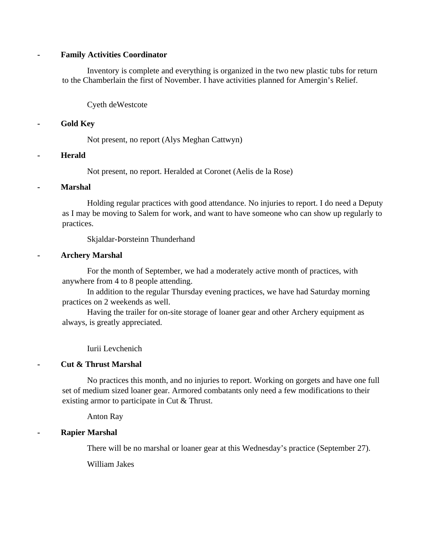#### **- Family Activities Coordinator**

Inventory is complete and everything is organized in the two new plastic tubs for return to the Chamberlain the first of November. I have activities planned for Amergin's Relief.

Cyeth deWestcote

## **- Gold Key**

Not present, no report (Alys Meghan Cattwyn)

#### **- Herald**

Not present, no report. Heralded at Coronet (Aelis de la Rose)

## **- Marshal**

Holding regular practices with good attendance. No injuries to report. I do need a Deputy as I may be moving to Salem for work, and want to have someone who can show up regularly to practices.

Skjaldar-Þorsteinn Thunderhand

## **- Archery Marshal**

For the month of September, we had a moderately active month of practices, with anywhere from 4 to 8 people attending.

In addition to the regular Thursday evening practices, we have had Saturday morning practices on 2 weekends as well.

Having the trailer for on-site storage of loaner gear and other Archery equipment as always, is greatly appreciated.

Iurii Levchenich

# **- Cut & Thrust Marshal**

No practices this month, and no injuries to report. Working on gorgets and have one full set of medium sized loaner gear. Armored combatants only need a few modifications to their existing armor to participate in Cut & Thrust.

Anton Ray

# **- Rapier Marshal**

There will be no marshal or loaner gear at this Wednesday's practice (September 27).

William Jakes